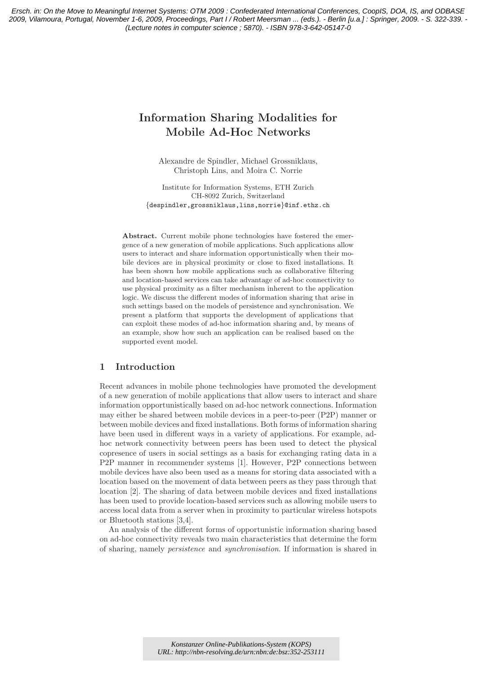Ersch. in: On the Move to Meaningful Internet Systems: OTM 2009 : Confederated International Conferences, CoopIS, DOA, IS, and ODBASE 2009, Vilamoura, Portugal, November 1-6, 2009, Proceedings, Part I / Robert Meersman ... (eds.). - Berlin [u.a.] : Springer, 2009. - S. 322-339. - (Lecture notes in computer science ; 5870). - ISBN 978-3-642-05147-0

# **Information Sharing Modalities for Mobile Ad-Hoc Networks**

Alexandre de Spindler, Michael Grossniklaus, Christoph Lins, and Moira C. Norrie

Institute for Information Systems, ETH Zurich CH-8092 Zurich, Switzerland {despindler,grossniklaus,lins,norrie}@inf.ethz.ch

**Abstract.** Current mobile phone technologies have fostered the emergence of a new generation of mobile applications. Such applications allow users to interact and share information opportunistically when their mobile devices are in physical proximity or close to fixed installations. It has been shown how mobile applications such as collaborative filtering and location-based services can take advantage of ad-hoc connectivity to use physical proximity as a filter mechanism inherent to the application logic. We discuss the different modes of information sharing that arise in such settings based on the models of persistence and synchronisation. We present a platform that supports the development of applications that can exploit these modes of ad-hoc information sharing and, by means of an example, show how such an application can be realised based on the supported event model.

### **1 Introduction**

Recent advances in mobile phone technologies have promoted the development of a new generation of mobile applications that allow users to interact and share information opportunistically based on ad-hoc network connections. Information may either be shared between mobile devices in a peer-to-peer (P2P) manner or between mobile devices and fixed installations. Both forms of information sharing have been used in different ways in a variety of applications. For example, adhoc network connectivity between peers has been used to detect the physical copresence of users in social settings as a basis for exchanging rating data in a P2P manner in recommender systems [1]. However, P2P connections between mobile devices have also been used as a means for storing data associated with a location based on the movement of data between peers as they pass through that location [2]. The sharing of data between mobile devices and fixed installations has been used to provide location-based services such as allowing mobile users to access local data from a server when in proximity to particular wireless hotspots or Bluetooth stations [3,4].

An analysis of the different forms of opportunistic information sharing based on ad-hoc connectivity reveals two main characteristics that determine the form of sharing, namely persistence and synchronisation. If information is shared in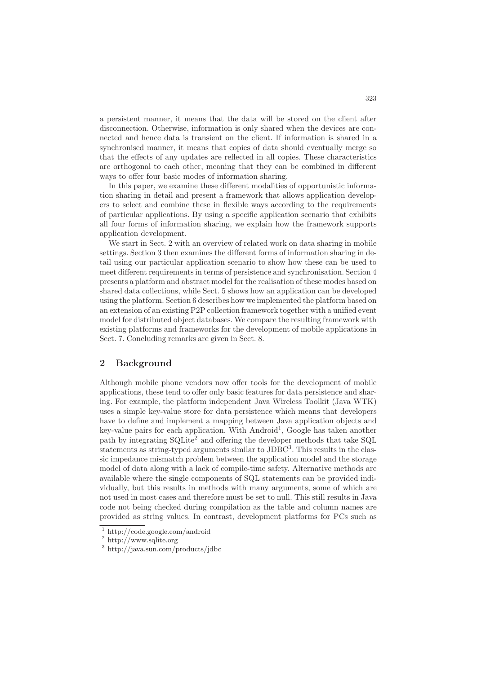a persistent manner, it means that the data will be stored on the client after disconnection. Otherwise, information is only shared when the devices are connected and hence data is transient on the client. If information is shared in a synchronised manner, it means that copies of data should eventually merge so that the effects of any updates are reflected in all copies. These characteristics are orthogonal to each other, meaning that they can be combined in different ways to offer four basic modes of information sharing.

In this paper, we examine these different modalities of opportunistic information sharing in detail and present a framework that allows application developers to select and combine these in flexible ways according to the requirements of particular applications. By using a specific application scenario that exhibits all four forms of information sharing, we explain how the framework supports application development.

We start in Sect. 2 with an overview of related work on data sharing in mobile settings. Section 3 then examines the different forms of information sharing in detail using our particular application scenario to show how these can be used to meet different requirements in terms of persistence and synchronisation. Section 4 presents a platform and abstract model for the realisation of these modes based on shared data collections, while Sect. 5 shows how an application can be developed using the platform. Section 6 describes how we implemented the platform based on an extension of an existing P2P collection framework together with a unified event model for distributed object databases. We compare the resulting framework with existing platforms and frameworks for the development of mobile applications in Sect. 7. Concluding remarks are given in Sect. 8.

# **2 Background**

Although mobile phone vendors now offer tools for the development of mobile applications, these tend to offer only basic features for data persistence and sharing. For example, the platform independent Java Wireless Toolkit (Java WTK) uses a simple key-value store for data persistence which means that developers have to define and implement a mapping between Java application objects and key-value pairs for each application. With Android<sup>1</sup>, Google has taken another path by integrating SQLite<sup>2</sup> and offering the developer methods that take SQL statements as string-typed arguments similar to JDBC<sup>3</sup>. This results in the classic impedance mismatch problem between the application model and the storage model of data along with a lack of compile-time safety. Alternative methods are available where the single components of SQL statements can be provided individually, but this results in methods with many arguments, some of which are not used in most cases and therefore must be set to null. This still results in Java code not being checked during compilation as the table and column names are provided as string values. In contrast, development platforms for PCs such as

<sup>1</sup> http://code.google.com/android

<sup>2</sup> http://www.sqlite.org

<sup>3</sup> http://java.sun.com/products/jdbc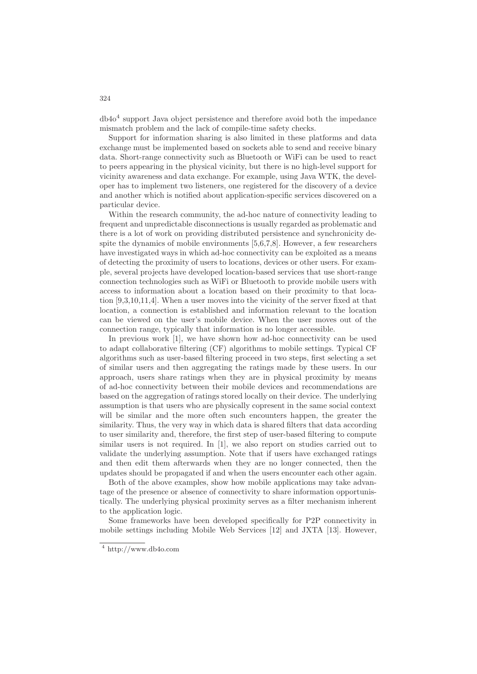$db4o<sup>4</sup>$  support Java object persistence and therefore avoid both the impedance mismatch problem and the lack of compile-time safety checks.

Support for information sharing is also limited in these platforms and data exchange must be implemented based on sockets able to send and receive binary data. Short-range connectivity such as Bluetooth or WiFi can be used to react to peers appearing in the physical vicinity, but there is no high-level support for vicinity awareness and data exchange. For example, using Java WTK, the developer has to implement two listeners, one registered for the discovery of a device and another which is notified about application-specific services discovered on a particular device.

Within the research community, the ad-hoc nature of connectivity leading to frequent and unpredictable disconnections is usually regarded as problematic and there is a lot of work on providing distributed persistence and synchronicity despite the dynamics of mobile environments [5,6,7,8]. However, a few researchers have investigated ways in which ad-hoc connectivity can be exploited as a means of detecting the proximity of users to locations, devices or other users. For example, several projects have developed location-based services that use short-range connection technologies such as WiFi or Bluetooth to provide mobile users with access to information about a location based on their proximity to that location [9,3,10,11,4]. When a user moves into the vicinity of the server fixed at that location, a connection is established and information relevant to the location can be viewed on the user's mobile device. When the user moves out of the connection range, typically that information is no longer accessible.

In previous work [1], we have shown how ad-hoc connectivity can be used to adapt collaborative filtering (CF) algorithms to mobile settings. Typical CF algorithms such as user-based filtering proceed in two steps, first selecting a set of similar users and then aggregating the ratings made by these users. In our approach, users share ratings when they are in physical proximity by means of ad-hoc connectivity between their mobile devices and recommendations are based on the aggregation of ratings stored locally on their device. The underlying assumption is that users who are physically copresent in the same social context will be similar and the more often such encounters happen, the greater the similarity. Thus, the very way in which data is shared filters that data according to user similarity and, therefore, the first step of user-based filtering to compute similar users is not required. In [1], we also report on studies carried out to validate the underlying assumption. Note that if users have exchanged ratings and then edit them afterwards when they are no longer connected, then the updates should be propagated if and when the users encounter each other again.

Both of the above examples, show how mobile applications may take advantage of the presence or absence of connectivity to share information opportunistically. The underlying physical proximity serves as a filter mechanism inherent to the application logic.

Some frameworks have been developed specifically for P2P connectivity in mobile settings including Mobile Web Services [12] and JXTA [13]. However,

<sup>4</sup> http://www.db4o.com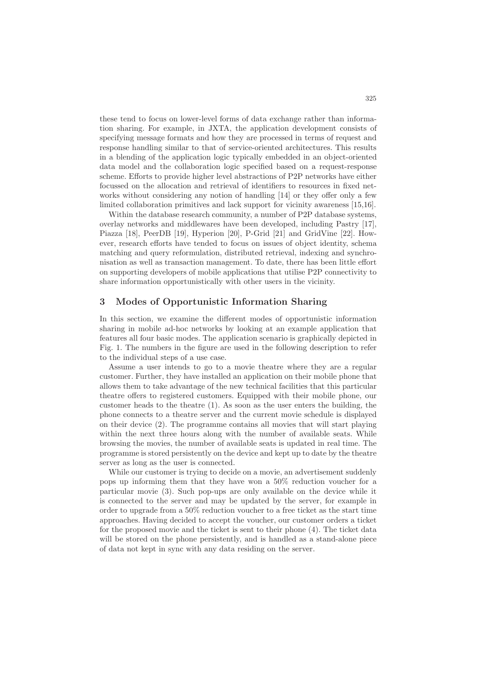these tend to focus on lower-level forms of data exchange rather than information sharing. For example, in JXTA, the application development consists of specifying message formats and how they are processed in terms of request and response handling similar to that of service-oriented architectures. This results in a blending of the application logic typically embedded in an object-oriented data model and the collaboration logic specified based on a request-response scheme. Efforts to provide higher level abstractions of P2P networks have either focussed on the allocation and retrieval of identifiers to resources in fixed networks without considering any notion of handling [14] or they offer only a few limited collaboration primitives and lack support for vicinity awareness [15,16].

Within the database research community, a number of P2P database systems, overlay networks and middlewares have been developed, including Pastry [17], Piazza [18], PeerDB [19], Hyperion [20], P-Grid [21] and GridVine [22]. However, research efforts have tended to focus on issues of object identity, schema matching and query reformulation, distributed retrieval, indexing and synchronisation as well as transaction management. To date, there has been little effort on supporting developers of mobile applications that utilise P2P connectivity to share information opportunistically with other users in the vicinity.

#### **3 Modes of Opportunistic Information Sharing**

In this section, we examine the different modes of opportunistic information sharing in mobile ad-hoc networks by looking at an example application that features all four basic modes. The application scenario is graphically depicted in Fig. 1. The numbers in the figure are used in the following description to refer to the individual steps of a use case.

Assume a user intends to go to a movie theatre where they are a regular customer. Further, they have installed an application on their mobile phone that allows them to take advantage of the new technical facilities that this particular theatre offers to registered customers. Equipped with their mobile phone, our customer heads to the theatre (1). As soon as the user enters the building, the phone connects to a theatre server and the current movie schedule is displayed on their device (2). The programme contains all movies that will start playing within the next three hours along with the number of available seats. While browsing the movies, the number of available seats is updated in real time. The programme is stored persistently on the device and kept up to date by the theatre server as long as the user is connected.

While our customer is trying to decide on a movie, an advertisement suddenly pops up informing them that they have won a 50% reduction voucher for a particular movie (3). Such pop-ups are only available on the device while it is connected to the server and may be updated by the server, for example in order to upgrade from a 50% reduction voucher to a free ticket as the start time approaches. Having decided to accept the voucher, our customer orders a ticket for the proposed movie and the ticket is sent to their phone (4). The ticket data will be stored on the phone persistently, and is handled as a stand-alone piece of data not kept in sync with any data residing on the server.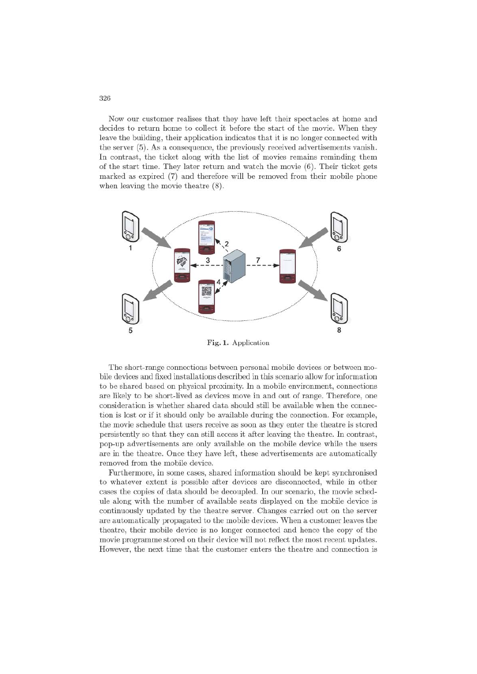Now our customer realises that they have left their spectacles at home and decides to return home to collect it before the start of the movie. When they leave the building, their application indicates that it is no longer connected with the server (5). As a consequence, the previously received advertisements vanish. In contrast, the ticket along with the list of movies remains reminding them of the start time. They later return and watch the movie  $(6)$ . Their ticket gets marked as expired (7) and therefore will be removed from their mobile phone when leaving the movie theatre  $(8)$ .



Fig. 1. Application

The short-range connections between personal mobile devices or between mobile devices and fixed installations described in this scenario allow for information to be shared based on physical proximity. In a mobile environment, connections are likely to be short-lived as devices move in and out of range. Therefore, one consideration is whether shared data should still be available when the connection is lost or if it should only be available during the connection. For example, the movie schedule that users receive as soon as they enter the theatre is stored persistently so that they can still access it after leaving the theatre. In contrast, pop-up advertisements are only available on the mobile device while the users are in the theatre. Once they have left, these advertisements are automatically removed from the mobile device.

Furthermore, in some cases, shared information should be kept synchronised to whatever extent is possible after devices are disconnected, while in other cases the copies of data should be decoupled. In our scenario, the movie schedule along with the number of available seats displayed on the mobile device is continuously updated by the theatre server. Changes carried out on the server are automatically propagated to the mobile devices. When a customer leaves the theatre, their mobile device is no longer connected and hence the copy of the movie programme stored on their device will not reflect the most recent updates. However, the next time that the customer enters the theatre and connection is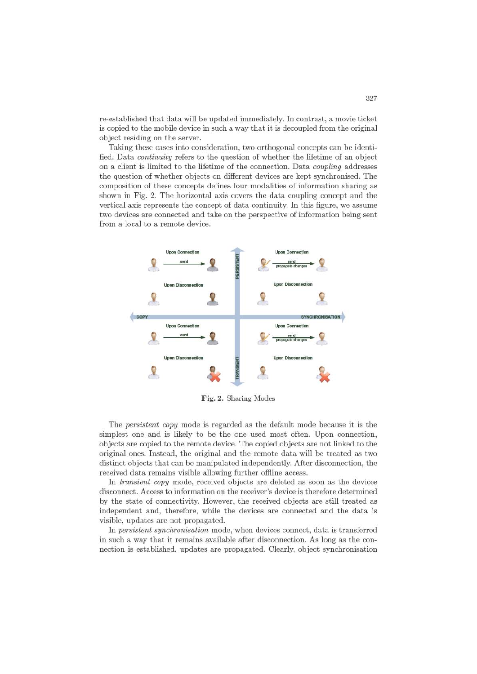re-established that data will be updated immediately. In contrast, a movie ticket is copied to the mobile device in such a way that it is decoupled from the original object residing on the server.

Taking these cases into consideration, two orthogonal concepts can be identified. Data *continuity* refers to the question of whether the lifetime of an object on a client is limited to the lifetime of the connection. Data *coupling* addresses the question of whether objects on different devices are kept synchronised. The composition of these concepts defines four modalities of information sharing as shown in Fig. 2. The horizontal axis covers the data coupling concept and the vertical axis represents the concept of data continuity. In this figure, we assume two devices are connected and take on the perspective of information being sent from a local to a remote device.



Fig. 2. Sharing Modes

The *persistent copy* mode is regarded as the default mode because it is the simplest one and is likely to be the one used most often. Upon connection, objects are copied to the remote device. The copied objects are not linked to the original ones. Instead, the original and the remote data will be treated as two distinct objects that can be manipulated independently. After disconnection, the received data remains visible allowing further offline access.

In *transient copy* mode, received objects are deleted as soon as the devices disconnect. Access to information on the receiver's device is therefore determined by the state of connectivity. However, the received objects are still treated as independent and, therefore, while the devices are connected and the data is visible, updates are not propagated.

In persistent synchronisation mode, when devices connect, data is transferred in such a way that it remains available after disconnection. As long as the connection is established, updates are propagated. Clearly, object synchronisation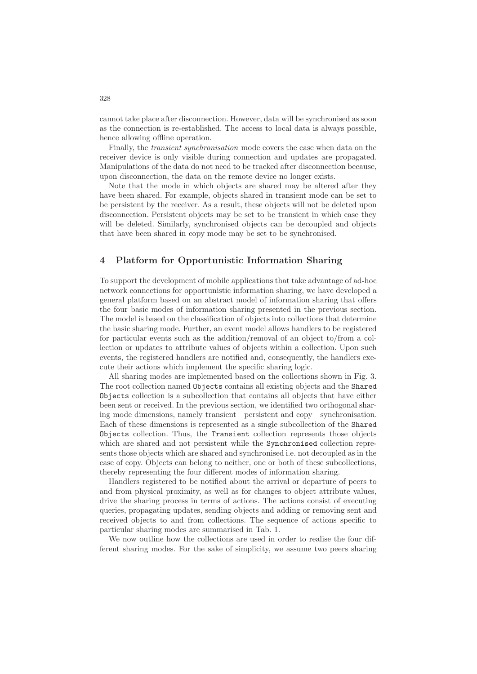cannot take place after disconnection. However, data will be synchronised as soon as the connection is re-established. The access to local data is always possible, hence allowing offline operation.

Finally, the transient synchronisation mode covers the case when data on the receiver device is only visible during connection and updates are propagated. Manipulations of the data do not need to be tracked after disconnection because, upon disconnection, the data on the remote device no longer exists.

Note that the mode in which objects are shared may be altered after they have been shared. For example, objects shared in transient mode can be set to be persistent by the receiver. As a result, these objects will not be deleted upon disconnection. Persistent objects may be set to be transient in which case they will be deleted. Similarly, synchronised objects can be decoupled and objects that have been shared in copy mode may be set to be synchronised.

## **4 Platform for Opportunistic Information Sharing**

To support the development of mobile applications that take advantage of ad-hoc network connections for opportunistic information sharing, we have developed a general platform based on an abstract model of information sharing that offers the four basic modes of information sharing presented in the previous section. The model is based on the classification of objects into collections that determine the basic sharing mode. Further, an event model allows handlers to be registered for particular events such as the addition/removal of an object to/from a collection or updates to attribute values of objects within a collection. Upon such events, the registered handlers are notified and, consequently, the handlers execute their actions which implement the specific sharing logic.

All sharing modes are implemented based on the collections shown in Fig. 3. The root collection named Objects contains all existing objects and the Shared Objects collection is a subcollection that contains all objects that have either been sent or received. In the previous section, we identified two orthogonal sharing mode dimensions, namely transient—persistent and copy—synchronisation. Each of these dimensions is represented as a single subcollection of the Shared Objects collection. Thus, the Transient collection represents those objects which are shared and not persistent while the Synchronised collection represents those objects which are shared and synchronised i.e. not decoupled as in the case of copy. Objects can belong to neither, one or both of these subcollections, thereby representing the four different modes of information sharing.

Handlers registered to be notified about the arrival or departure of peers to and from physical proximity, as well as for changes to object attribute values, drive the sharing process in terms of actions. The actions consist of executing queries, propagating updates, sending objects and adding or removing sent and received objects to and from collections. The sequence of actions specific to particular sharing modes are summarised in Tab. 1.

We now outline how the collections are used in order to realise the four different sharing modes. For the sake of simplicity, we assume two peers sharing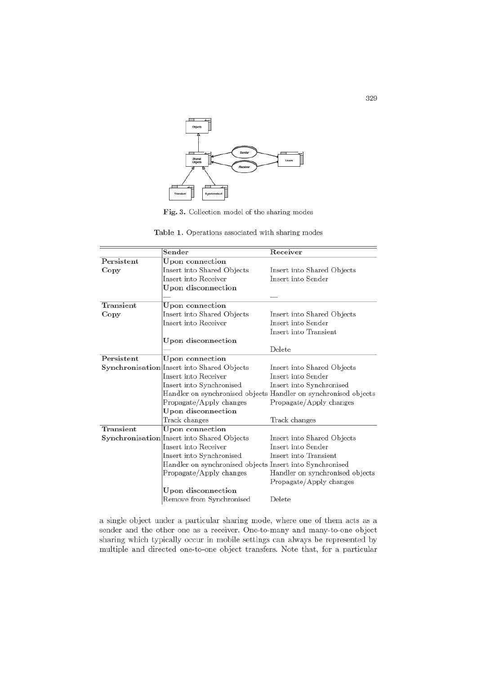

Fig. 3. Collection model of the sharing modes

| Table 1. Operations associated with sharing modes |  |  |  |  |
|---------------------------------------------------|--|--|--|--|
|---------------------------------------------------|--|--|--|--|

|             | Sender                                                   | Receiver                                                        |  |  |
|-------------|----------------------------------------------------------|-----------------------------------------------------------------|--|--|
| Persistent  | Upon connection                                          |                                                                 |  |  |
| Copy        | Insert into Shared Objects                               | Insert into Shared Objects                                      |  |  |
|             | Insert into Receiver                                     | Insert into Sender                                              |  |  |
|             | Upon disconnection                                       |                                                                 |  |  |
|             |                                                          |                                                                 |  |  |
| Transient   | Upon connection                                          |                                                                 |  |  |
| $\bf{Copy}$ | Insert into Shared Objects                               | Insert into Shared Objects                                      |  |  |
|             | Insert into Receiver                                     | Insert into Sender                                              |  |  |
|             |                                                          | Insert into Transient                                           |  |  |
|             | Upon disconnection                                       |                                                                 |  |  |
|             |                                                          | Delete                                                          |  |  |
| Persistent  | Upon connection                                          |                                                                 |  |  |
|             | <b>Synchronisation</b> Insert into Shared Objects        | Insert into Shared Objects                                      |  |  |
|             | Insert into Receiver                                     | Insert into Sender                                              |  |  |
|             | Insert into Synchronised                                 | Insert into Synchronised                                        |  |  |
|             |                                                          | Handler on synchronised objects Handler on synchronised objects |  |  |
|             | Propagate/Apply changes                                  | Propagate/Apply changes                                         |  |  |
|             | Upon disconnection                                       |                                                                 |  |  |
|             | Track changes                                            | Track changes                                                   |  |  |
| Transient   | Upon connection                                          |                                                                 |  |  |
|             | Synchronisation Insert into Shared Objects               | Insert into Shared Objects                                      |  |  |
|             | Insert into Receiver                                     | Insert into Sender                                              |  |  |
|             | Insert into Synchronised                                 | Insert into Transient                                           |  |  |
|             | Handler on synchronised objects Insert into Synchronised |                                                                 |  |  |
|             | Propagate/Apply changes                                  | Handler on synchronised objects                                 |  |  |
|             |                                                          | Propagate/Apply changes                                         |  |  |
|             | Upon disconnection                                       |                                                                 |  |  |
|             | Remove from Synchronised                                 | Delete                                                          |  |  |

a single object under a particular sharing mode, where one of them acts as a sender and the other one as a receiver. One-to-many and many-to-one object sharing which typically occur in mobile settings can always be represented by multiple and directed one-to-one object transfers. Note that, for a particular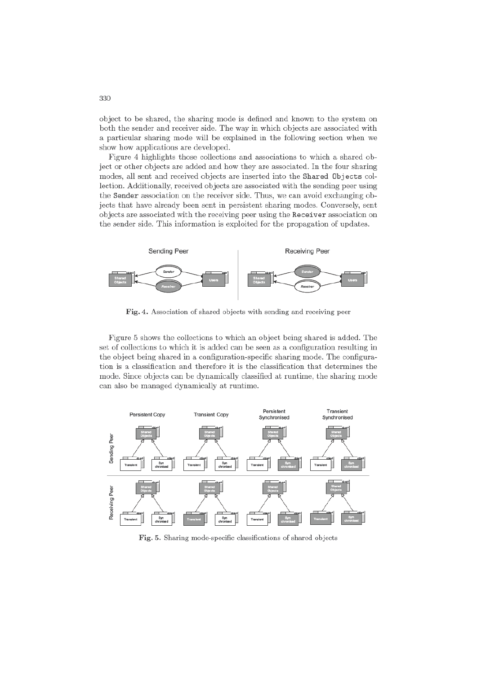object to be shared, the sharing mode is defined and known to the system on both the sender and receiver side. The way in which objects are associated with a particular sharing mode will be explained in the following section when we show how applications are developed.

Figure 4 highlights those collections and associations to which a shared object or other objects are added and how they are associated. In the four sharing modes, all sent and received objects are inserted into the Shared Objects collection. Additionally, received objects are associated with the sending peer using the Sender association on the receiver side. Thus, we can avoid exchanging objects that have already been sent in persistent sharing modes. Conversely, sent objects are associated with the receiving peer using the Receiver association on the sender side. This information is exploited for the propagation of updates.



Fig. 4. Association of shared objects with sending and receiving peer

Figure 5 shows the collections to which an object being shared is added. The set of collections to which it is added can be seen as a configuration resulting in the object being shared in a configuration-specific sharing mode. The configuration is a classification and therefore it is the classification that determines the mode. Since objects can be dynamically classified at runtime, the sharing mode can also be managed dynamically at runtime.



Fig. 5. Sharing mode-specific classifications of shared objects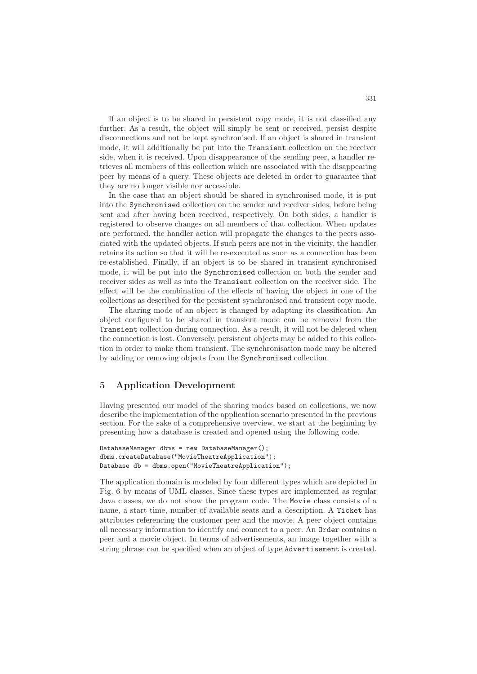If an object is to be shared in persistent copy mode, it is not classified any further. As a result, the object will simply be sent or received, persist despite disconnections and not be kept synchronised. If an object is shared in transient mode, it will additionally be put into the Transient collection on the receiver side, when it is received. Upon disappearance of the sending peer, a handler retrieves all members of this collection which are associated with the disappearing peer by means of a query. These objects are deleted in order to guarantee that they are no longer visible nor accessible.

In the case that an object should be shared in synchronised mode, it is put into the Synchronised collection on the sender and receiver sides, before being sent and after having been received, respectively. On both sides, a handler is registered to observe changes on all members of that collection. When updates are performed, the handler action will propagate the changes to the peers associated with the updated objects. If such peers are not in the vicinity, the handler retains its action so that it will be re-executed as soon as a connection has been re-established. Finally, if an object is to be shared in transient synchronised mode, it will be put into the Synchronised collection on both the sender and receiver sides as well as into the Transient collection on the receiver side. The effect will be the combination of the effects of having the object in one of the collections as described for the persistent synchronised and transient copy mode.

The sharing mode of an object is changed by adapting its classification. An object configured to be shared in transient mode can be removed from the Transient collection during connection. As a result, it will not be deleted when the connection is lost. Conversely, persistent objects may be added to this collection in order to make them transient. The synchronisation mode may be altered by adding or removing objects from the Synchronised collection.

### **5 Application Development**

Having presented our model of the sharing modes based on collections, we now describe the implementation of the application scenario presented in the previous section. For the sake of a comprehensive overview, we start at the beginning by presenting how a database is created and opened using the following code.

```
DatabaseManager dbms = new DatabaseManager();
dbms.createDatabase("MovieTheatreApplication");
Database db = dbms.open("MovieTheatreApplication");
```
The application domain is modeled by four different types which are depicted in Fig. 6 by means of UML classes. Since these types are implemented as regular Java classes, we do not show the program code. The Movie class consists of a name, a start time, number of available seats and a description. A Ticket has attributes referencing the customer peer and the movie. A peer object contains all necessary information to identify and connect to a peer. An Order contains a peer and a movie object. In terms of advertisements, an image together with a string phrase can be specified when an object of type Advertisement is created.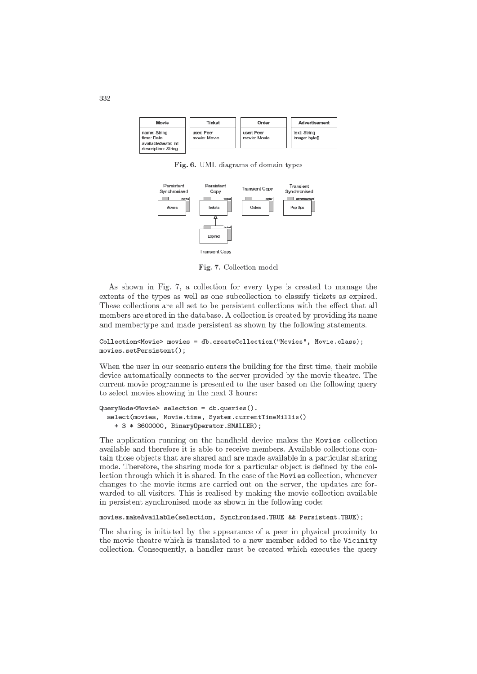| Movie                                             | Ticket                     | Order                      | Advertisement                 |
|---------------------------------------------------|----------------------------|----------------------------|-------------------------------|
| name: String<br>time: Date<br>availableSeats: int | user: Peer<br>movie: Movie | user: Peer<br>movie: Movie | text: String<br>image: byte[] |

Fig. 6. UML diagrams of domain types



Fig. 7. Collection model

As shown in Fig. 7, a collection for every type is created to manage the extents of the types as well as one subcollection to classify tickets as expired. These collections are all set to be persistent collections with the effect that all members are stored in the database. A collection is created by providing its name and membertype and made persistent as shown by the following statements.

#### Collection<Movie> movies = db.createCollection("Movies", Movie.class); movies.setPersistent();

When the user in our scenario enters the building for the first time, their mobile device automatically connects to the server provided by the movie theatre. The current movie programme is presented to the user based on the following query to select movies showing in the next 3 hours:

```
QueryNode < Movie> selection = db. queries().
  select(movies, Movie.time, System.currentTimeMillis()
    + 3 * 3600000, BinaryOperator.SMALLER);
```
The application running on the handheld device makes the Movies collection available and therefore it is able to receive members. Available collections contain those objects that are shared and are made available in a particular sharing mode. Therefore, the sharing mode for a particular object is defined by the collection through which it is shared. In the case of the Movies collection, whenever changes to the movie items are carried out on the server, the updates are forwarded to all visitors. This is realised by making the movie collection available in persistent synchronised mode as shown in the following code:

movies.makeAvailable(selection, Synchronised.TRUE && Persistent.TRUE);

The sharing is initiated by the appearance of a peer in physical proximity to the movie theatre which is translated to a new member added to the Vicinity collection. Consequently, a handler must be created which executes the query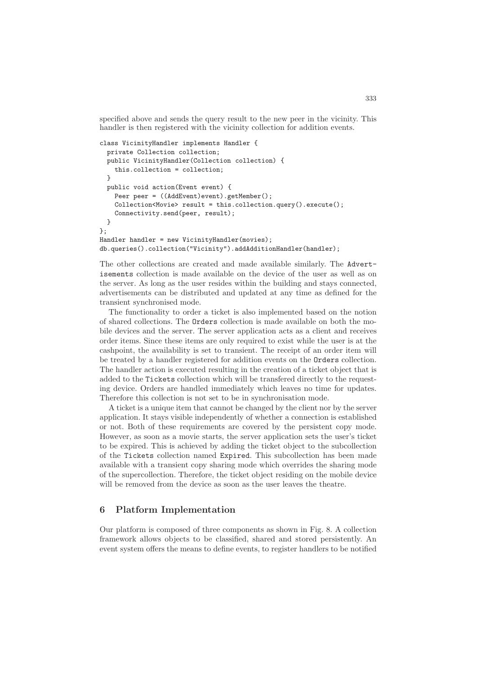specified above and sends the query result to the new peer in the vicinity. This handler is then registered with the vicinity collection for addition events.

```
class VicinityHandler implements Handler {
  private Collection collection;
  public VicinityHandler(Collection collection) {
    this.collection = collection;
  }
  public void action(Event event) {
    Peer peer = ((AddEvent)event).getMember();
    Collection<Movie> result = this.collection.query().execute();
    Connectivity.send(peer, result);
  }
};
Handler handler = new VicinityHandler(movies);
db.queries().collection("Vicinity").addAdditionHandler(handler);
```
The other collections are created and made available similarly. The Advertisements collection is made available on the device of the user as well as on the server. As long as the user resides within the building and stays connected, advertisements can be distributed and updated at any time as defined for the transient synchronised mode.

The functionality to order a ticket is also implemented based on the notion of shared collections. The Orders collection is made available on both the mobile devices and the server. The server application acts as a client and receives order items. Since these items are only required to exist while the user is at the cashpoint, the availability is set to transient. The receipt of an order item will be treated by a handler registered for addition events on the Orders collection. The handler action is executed resulting in the creation of a ticket object that is added to the Tickets collection which will be transfered directly to the requesting device. Orders are handled immediately which leaves no time for updates. Therefore this collection is not set to be in synchronisation mode.

A ticket is a unique item that cannot be changed by the client nor by the server application. It stays visible independently of whether a connection is established or not. Both of these requirements are covered by the persistent copy mode. However, as soon as a movie starts, the server application sets the user's ticket to be expired. This is achieved by adding the ticket object to the subcollection of the Tickets collection named Expired. This subcollection has been made available with a transient copy sharing mode which overrides the sharing mode of the supercollection. Therefore, the ticket object residing on the mobile device will be removed from the device as soon as the user leaves the theatre.

# **6 Platform Implementation**

Our platform is composed of three components as shown in Fig. 8. A collection framework allows objects to be classified, shared and stored persistently. An event system offers the means to define events, to register handlers to be notified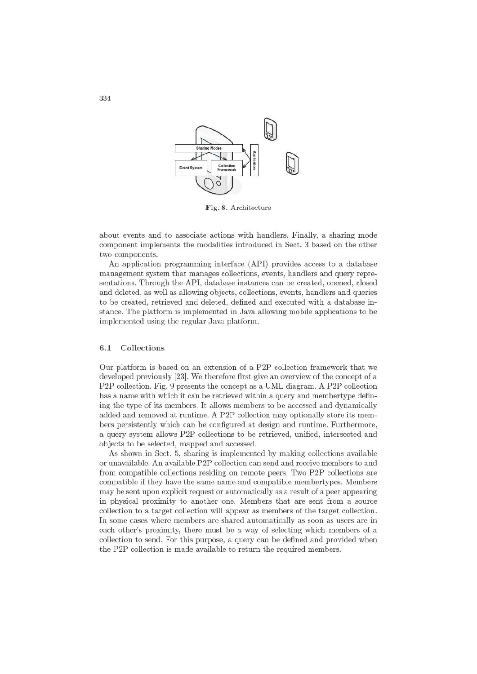

Fig. 8. Architecture

about events and to associate actions with handlers. Finally, a sharing mode component implements the modalities introduced in Sect. 3 based on the other two components.

An application programming interface (API) provides access to a database management system that manages collections, events, handlers and query representations. Through the API, database instances can be created, opened, closed and deleted, as well as allowing objects, collections, events, handlers and queries to be created, retrieved and deleted, defined and executed with a database instance. The platform is implemented in Java allowing mobile applications to be implemented using the regular Java platform.

#### $6.1$ Collections

Our platform is based on an extension of a P2P collection framework that we developed previously [23]. We therefore first give an overview of the concept of a P2P collection. Fig. 9 presents the concept as a UML diagram. A P2P collection has a name with which it can be retrieved within a query and membertype defining the type of its members. It allows members to be accessed and dynamically added and removed at runtime. A P2P collection may optionally store its members persistently which can be configured at design and runtime. Furthermore, a query system allows P2P collections to be retrieved, unified, intersected and objects to be selected, mapped and accessed.

As shown in Sect. 5, sharing is implemented by making collections available or unavailable. An available P2P collection can send and receive members to and from compatible collections residing on remote peers. Two P2P collections are compatible if they have the same name and compatible membertypes. Members may be sent upon explicit request or automatically as a result of a peer appearing in physical proximity to another one. Members that are sent from a source collection to a target collection will appear as members of the target collection. In some cases where members are shared automatically as soon as users are in each other's proximity, there must be a way of selecting which members of a collection to send. For this purpose, a query can be defined and provided when the P2P collection is made available to return the required members.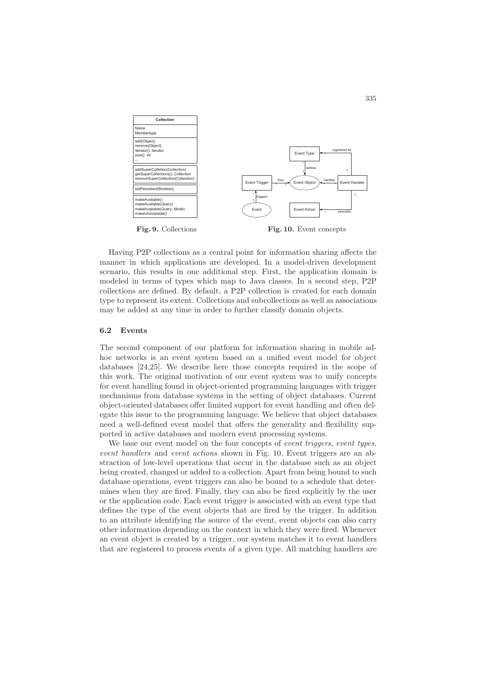

Having P2P collections as a central point for information sharing affects the manner in which applications are developed. In a model-driven development scenario, this results in one additional step. First, the application domain is modeled in terms of types which map to Java classes. In a second step, P2P collections are defined. By default, a P2P collection is created for each domain type to represent its extent. Collections and subcollections as well as associations may be added at any time in order to further classify domain objects.

#### **6.2 Events**

The second component of our platform for information sharing in mobile adhoc networks is an event system based on a unified event model for object databases [24,25]. We describe here those concepts required in the scope of this work. The original motivation of our event system was to unify concepts for event handling found in object-oriented programming languages with trigger mechanisms from database systems in the setting of object databases. Current object-oriented databases offer limited support for event handling and often delegate this issue to the programming language. We believe that object databases need a well-defined event model that offers the generality and flexibility supported in active databases and modern event processing systems.

We base our event model on the four concepts of *event triggers*, *event types*, event handlers and event actions shown in Fig. 10. Event triggers are an abstraction of low-level operations that occur in the database such as an object being created, changed or added to a collection. Apart from being bound to such database operations, event triggers can also be bound to a schedule that determines when they are fired. Finally, they can also be fired explicitly by the user or the application code. Each event trigger is associated with an event type that defines the type of the event objects that are fired by the trigger. In addition to an attribute identifying the source of the event, event objects can also carry other information depending on the context in which they were fired. Whenever an event object is created by a trigger, our system matches it to event handlers that are registered to process events of a given type. All matching handlers are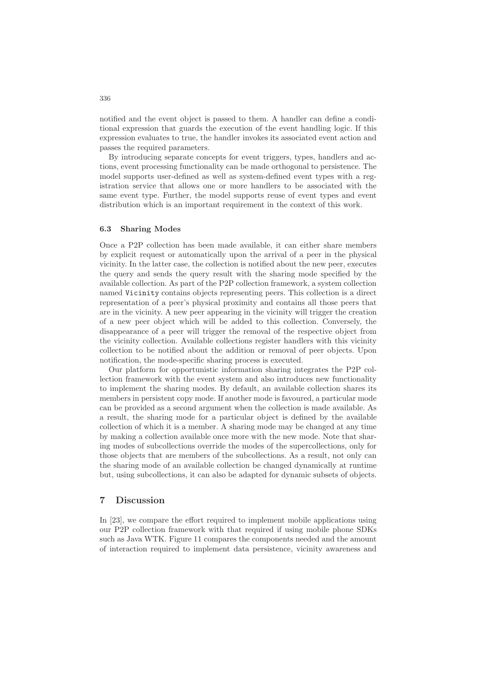notified and the event object is passed to them. A handler can define a conditional expression that guards the execution of the event handling logic. If this expression evaluates to true, the handler invokes its associated event action and passes the required parameters.

By introducing separate concepts for event triggers, types, handlers and actions, event processing functionality can be made orthogonal to persistence. The model supports user-defined as well as system-defined event types with a registration service that allows one or more handlers to be associated with the same event type. Further, the model supports reuse of event types and event distribution which is an important requirement in the context of this work.

#### **6.3 Sharing Modes**

Once a P2P collection has been made available, it can either share members by explicit request or automatically upon the arrival of a peer in the physical vicinity. In the latter case, the collection is notified about the new peer, executes the query and sends the query result with the sharing mode specified by the available collection. As part of the P2P collection framework, a system collection named Vicinity contains objects representing peers. This collection is a direct representation of a peer's physical proximity and contains all those peers that are in the vicinity. A new peer appearing in the vicinity will trigger the creation of a new peer object which will be added to this collection. Conversely, the disappearance of a peer will trigger the removal of the respective object from the vicinity collection. Available collections register handlers with this vicinity collection to be notified about the addition or removal of peer objects. Upon notification, the mode-specific sharing process is executed.

Our platform for opportunistic information sharing integrates the P2P collection framework with the event system and also introduces new functionality to implement the sharing modes. By default, an available collection shares its members in persistent copy mode. If another mode is favoured, a particular mode can be provided as a second argument when the collection is made available. As a result, the sharing mode for a particular object is defined by the available collection of which it is a member. A sharing mode may be changed at any time by making a collection available once more with the new mode. Note that sharing modes of subcollections override the modes of the supercollections, only for those objects that are members of the subcollections. As a result, not only can the sharing mode of an available collection be changed dynamically at runtime but, using subcollections, it can also be adapted for dynamic subsets of objects.

#### **7 Discussion**

In [23], we compare the effort required to implement mobile applications using our P2P collection framework with that required if using mobile phone SDKs such as Java WTK. Figure 11 compares the components needed and the amount of interaction required to implement data persistence, vicinity awareness and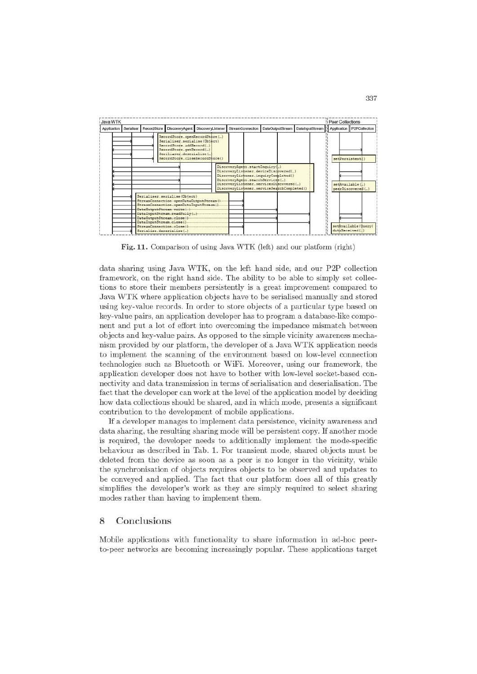

Fig. 11. Comparison of using Java WTK (left) and our platform (right)

data sharing using Java WTK, on the left hand side, and our P2P collection framework, on the right hand side. The ability to be able to simply set collections to store their members persistently is a great improvement compared to Java WTK where application objects have to be serialised manually and stored using key-value records. In order to store objects of a particular type based on key-value pairs, an application developer has to program a database-like component and put a lot of effort into overcoming the impedance mismatch between objects and key-value pairs. As opposed to the simple vicinity awareness mechanism provided by our platform, the developer of a Java WTK application needs to implement the scanning of the environment based on low-level connection technologies such as Bluetooth or WiFi. Moreover, using our framework, the application developer does not have to bother with low-level socket-based connectivity and data transmission in terms of serialisation and deserialisation. The fact that the developer can work at the level of the application model by deciding how data collections should be shared, and in which mode, presents a significant contribution to the development of mobile applications.

If a developer manages to implement data persistence, vicinity awareness and data sharing, the resulting sharing mode will be persistent copy. If another mode is required, the developer needs to additionally implement the mode-specific behaviour as described in Tab. 1. For transient mode, shared objects must be deleted from the device as soon as a peer is no longer in the vicinity, while the synchronisation of objects requires objects to be observed and updates to be conveved and applied. The fact that our platform does all of this greatly simplifies the developer's work as they are simply required to select sharing modes rather than having to implement them.

#### 8 Conclusions

Mobile applications with functionality to share information in ad-hoc peerto-peer networks are becoming increasingly popular. These applications target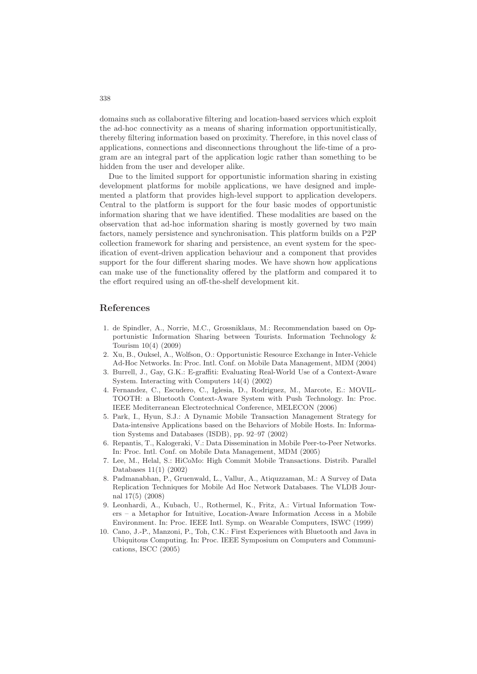domains such as collaborative filtering and location-based services which exploit the ad-hoc connectivity as a means of sharing information opportunitistically, thereby filtering information based on proximity. Therefore, in this novel class of applications, connections and disconnections throughout the life-time of a program are an integral part of the application logic rather than something to be hidden from the user and developer alike.

Due to the limited support for opportunistic information sharing in existing development platforms for mobile applications, we have designed and implemented a platform that provides high-level support to application developers. Central to the platform is support for the four basic modes of opportunistic information sharing that we have identified. These modalities are based on the observation that ad-hoc information sharing is mostly governed by two main factors, namely persistence and synchronisation. This platform builds on a P2P collection framework for sharing and persistence, an event system for the specification of event-driven application behaviour and a component that provides support for the four different sharing modes. We have shown how applications can make use of the functionality offered by the platform and compared it to the effort required using an off-the-shelf development kit.

#### **References**

- 1. de Spindler, A., Norrie, M.C., Grossniklaus, M.: Recommendation based on Opportunistic Information Sharing between Tourists. Information Technology & Tourism 10(4) (2009)
- 2. Xu, B., Ouksel, A., Wolfson, O.: Opportunistic Resource Exchange in Inter-Vehicle Ad-Hoc Networks. In: Proc. Intl. Conf. on Mobile Data Management, MDM (2004)
- 3. Burrell, J., Gay, G.K.: E-graffiti: Evaluating Real-World Use of a Context-Aware System. Interacting with Computers 14(4) (2002)
- 4. Fernandez, C., Escudero, C., Iglesia, D., Rodriguez, M., Marcote, E.: MOVIL-TOOTH: a Bluetooth Context-Aware System with Push Technology. In: Proc. IEEE Mediterranean Electrotechnical Conference, MELECON (2006)
- 5. Park, I., Hyun, S.J.: A Dynamic Mobile Transaction Management Strategy for Data-intensive Applications based on the Behaviors of Mobile Hosts. In: Information Systems and Databases (ISDB), pp. 92–97 (2002)
- 6. Repantis, T., Kalogeraki, V.: Data Dissemination in Mobile Peer-to-Peer Networks. In: Proc. Intl. Conf. on Mobile Data Management, MDM (2005)
- 7. Lee, M., Helal, S.: HiCoMo: High Commit Mobile Transactions. Distrib. Parallel Databases 11(1) (2002)
- 8. Padmanabhan, P., Gruenwald, L., Vallur, A., Atiquzzaman, M.: A Survey of Data Replication Techniques for Mobile Ad Hoc Network Databases. The VLDB Journal 17(5) (2008)
- 9. Leonhardi, A., Kubach, U., Rothermel, K., Fritz, A.: Virtual Information Towers – a Metaphor for Intuitive, Location-Aware Information Access in a Mobile Environment. In: Proc. IEEE Intl. Symp. on Wearable Computers, ISWC (1999)
- 10. Cano, J.-P., Manzoni, P., Toh, C.K.: First Experiences with Bluetooth and Java in Ubiquitous Computing. In: Proc. IEEE Symposium on Computers and Communications, ISCC (2005)